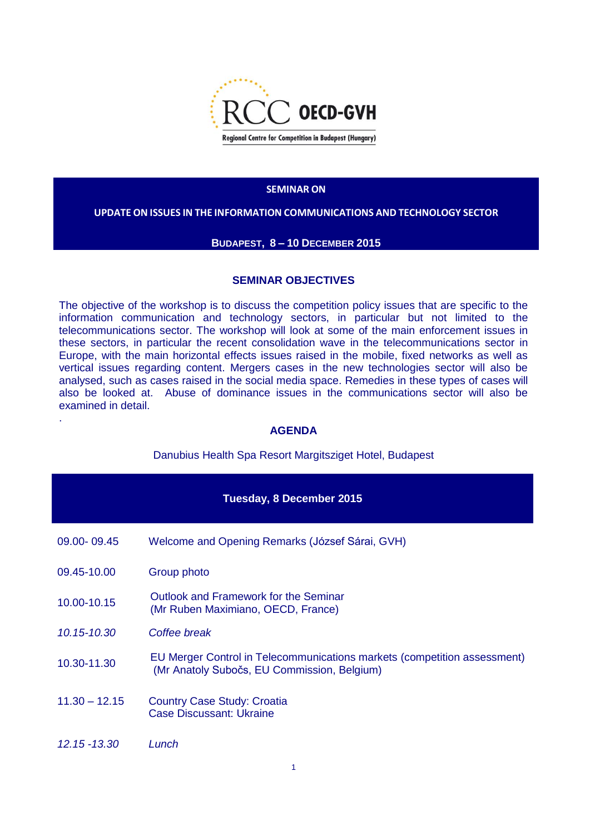

### **SEMINAR ON**

## **UPDATE ON ISSUES IN THE INFORMATION COMMUNICATIONS AND TECHNOLOGY SECTOR**

# **BUDAPEST, 8 – 10 DECEMBER 2015**

## **SEMINAR OBJECTIVES**

The objective of the workshop is to discuss the competition policy issues that are specific to the information communication and technology sectors, in particular but not limited to the telecommunications sector. The workshop will look at some of the main enforcement issues in these sectors, in particular the recent consolidation wave in the telecommunications sector in Europe, with the main horizontal effects issues raised in the mobile, fixed networks as well as vertical issues regarding content. Mergers cases in the new technologies sector will also be analysed, such as cases raised in the social media space. Remedies in these types of cases will also be looked at. Abuse of dominance issues in the communications sector will also be examined in detail.

# **AGENDA**

.

#### Danubius Health Spa Resort Margitsziget Hotel, Budapest

| Tuesday, 8 December 2015 |                                                                                                                         |  |
|--------------------------|-------------------------------------------------------------------------------------------------------------------------|--|
| 09.00 - 09.45            | Welcome and Opening Remarks (József Sárai, GVH)                                                                         |  |
| 09.45-10.00              | Group photo                                                                                                             |  |
| 10.00-10.15              | Outlook and Framework for the Seminar<br>(Mr Ruben Maximiano, OECD, France)                                             |  |
| 10.15-10.30              | Coffee break                                                                                                            |  |
| 10.30-11.30              | EU Merger Control in Telecommunications markets (competition assessment)<br>(Mr Anatoly Subočs, EU Commission, Belgium) |  |
| $11.30 - 12.15$          | <b>Country Case Study: Croatia</b><br>Case Discussant: Ukraine                                                          |  |
| 12.15 -13.30             | Lunch                                                                                                                   |  |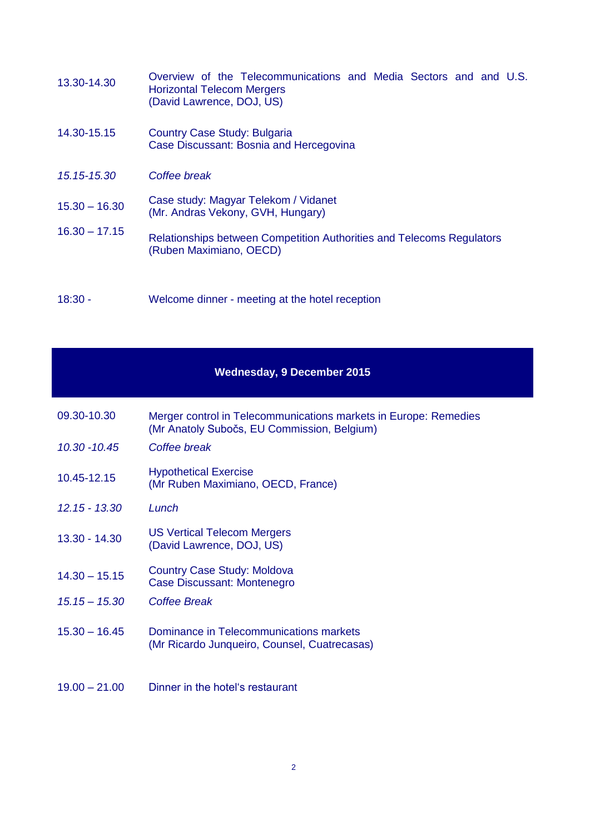| 13.30-14.30     | Overview of the Telecommunications and Media Sectors and and U.S.<br><b>Horizontal Telecom Mergers</b><br>(David Lawrence, DOJ, US) |  |  |  |
|-----------------|-------------------------------------------------------------------------------------------------------------------------------------|--|--|--|
| 14.30-15.15     | Country Case Study: Bulgaria<br>Case Discussant: Bosnia and Hercegovina                                                             |  |  |  |
| 15.15-15.30     | Coffee break                                                                                                                        |  |  |  |
| $15.30 - 16.30$ | Case study: Magyar Telekom / Vidanet<br>(Mr. Andras Vekony, GVH, Hungary)                                                           |  |  |  |
| $16.30 - 17.15$ | Relationships between Competition Authorities and Telecoms Regulators<br>(Ruben Maximiano, OECD)                                    |  |  |  |
| $18:30 -$       | Welcome dinner - meeting at the hotel reception                                                                                     |  |  |  |

# **Wednesday, 9 December 2015** 09.30-10.30 Merger control in Telecommunications markets in Europe: Remedies (Mr Anatoly Subočs, EU Commission, Belgium) *10.30 -10.45 Coffee break* 10.45-12.15 Hypothetical Exercise (Mr Ruben Maximiano, OECD, France) *12.15 - 13.30 Lunch*  13.30 - 14.30 US Vertical Telecom Mergers (David Lawrence, DOJ, US) 14.30 – 15.15 Country Case Study: Moldova Case Discussant: Montenegro *15.15 – 15.30 Coffee Break* 15.30 – 16.45 Dominance in Telecommunications markets (Mr Ricardo Junqueiro, Counsel, Cuatrecasas)

19.00 – 21.00 Dinner in the hotel's restaurant